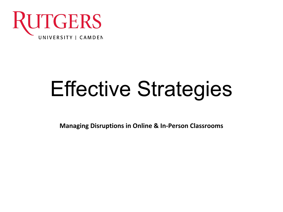

# Effective Strategies

**Managing Disruptions in Online & In-Person Classrooms**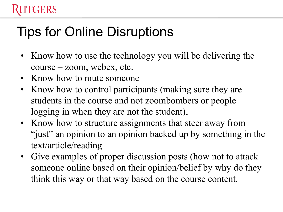## Tips for Online Disruptions

- Know how to use the technology you will be delivering the course – zoom, webex, etc.
- Know how to mute someone

**ERS** 

- Know how to control participants (making sure they are students in the course and not zoombombers or people logging in when they are not the student),
- Know how to structure assignments that steer away from "just" an opinion to an opinion backed up by something in the text/article/reading
- Give examples of proper discussion posts (how not to attack someone online based on their opinion/belief by why do they think this way or that way based on the course content.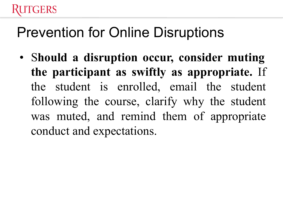#### ERS

## Prevention for Online Disruptions

• S**hould a disruption occur, consider muting the participant as swiftly as appropriate.** If the student is enrolled, email the student following the course, clarify why the student was muted, and remind them of appropriate conduct and expectations.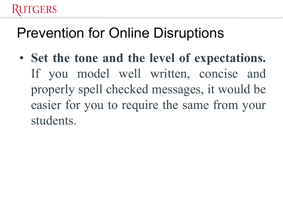#### **TGERS**

## Prevention for Online Disruptions

• **Set the tone and the level of expectations.** If you model well written, concise and properly spell checked messages, it would be easier for you to require the same from your students.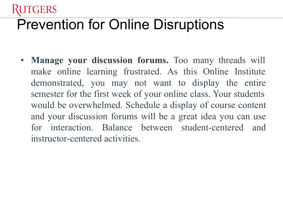# Prevention for Online Disruptions

GERS

• **Manage your discussion forums.** Too many threads will make online learning frustrated. As this Online Institute demonstrated, you may not want to display the entire semester for the first week of your online class. Your students would be overwhelmed. Schedule a display of course content and your discussion forums will be a great idea you can use for interaction. Balance between student-centered and instructor-centered activities.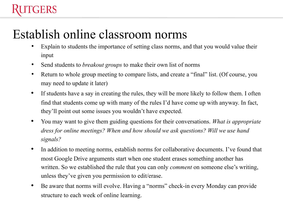#### GERS

#### Establish online classroom norms

- Explain to students the importance of setting class norms, and that you would value their input
- Send students to *breakout groups* to make their own list of norms
- Return to whole group meeting to compare lists, and create a "final" list. (Of course, you may need to update it later)
- If students have a say in creating the rules, they will be more likely to follow them. I often find that students come up with many of the rules I'd have come up with anyway. In fact, they'll point out some issues you wouldn't have expected.
- You may want to give them guiding questions for their conversations. *What is appropriate dress for online meetings? When and how should we ask questions? Will we use hand signals?*
- In addition to meeting norms, establish norms for collaborative documents. I've found that most Google Drive arguments start when one student erases something another has written. So we established the rule that you can only *comment* on someone else's writing, unless they've given you permission to edit/erase.
- Be aware that norms will evolve. Having a "norms" check-in every Monday can provide structure to each week of online learning.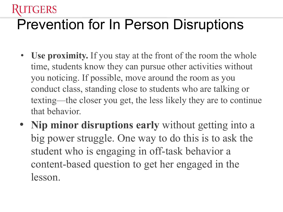# Prevention for In Person Disruptions

**GERS** 

- **Use proximity.** If you stay at the front of the room the whole time, students know they can pursue other activities without you noticing. If possible, move around the room as you conduct class, standing close to students who are talking or texting—the closer you get, the less likely they are to continue that behavior.
- **Nip minor disruptions early** without getting into a big power struggle. One way to do this is to ask the student who is engaging in off-task behavior a content-based question to get her engaged in the lesson.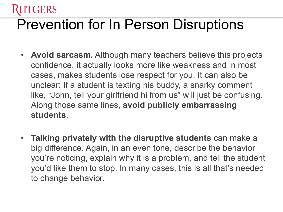# Prevention for In Person Disruptions

GERS

- **Avoid sarcasm.** Although many teachers believe this projects confidence, it actually looks more like weakness and in most cases, makes students lose respect for you. It can also be unclear: If a student is texting his buddy, a snarky comment like, "John, tell your girlfriend hi from us" will just be confusing. Along those same lines, **avoid publicly embarrassing students**.
- **Talking privately with the disruptive students** can make a big difference. Again, in an even tone, describe the behavior you're noticing, explain why it is a problem, and tell the student you'd like them to stop. In many cases, this is all that's needed to change behavior.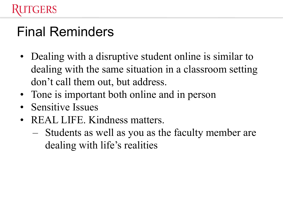#### GERS

### Final Reminders

- Dealing with a disruptive student online is similar to dealing with the same situation in a classroom setting don't call them out, but address.
- Tone is important both online and in person
- Sensitive Issues
- REAL LIFE. Kindness matters.
	- Students as well as you as the faculty member are dealing with life's realities